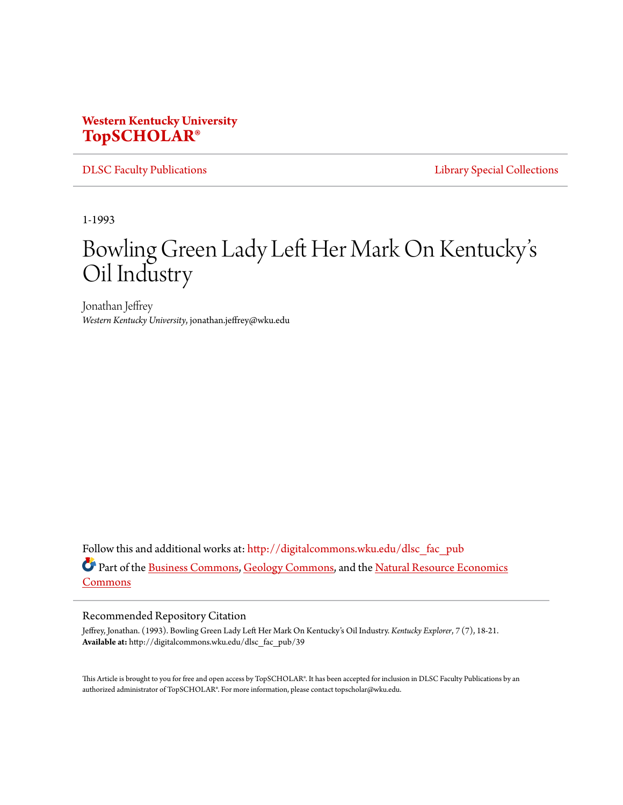## **Western Kentucky University [TopSCHOLAR®](http://digitalcommons.wku.edu?utm_source=digitalcommons.wku.edu%2Fdlsc_fac_pub%2F39&utm_medium=PDF&utm_campaign=PDFCoverPages)**

[DLSC Faculty Publications](http://digitalcommons.wku.edu/dlsc_fac_pub?utm_source=digitalcommons.wku.edu%2Fdlsc_fac_pub%2F39&utm_medium=PDF&utm_campaign=PDFCoverPages) **[Library Special Collections](http://digitalcommons.wku.edu/dlsc?utm_source=digitalcommons.wku.edu%2Fdlsc_fac_pub%2F39&utm_medium=PDF&utm_campaign=PDFCoverPages)** 

1-1993

## Bowling Green Lady Left Her Mark On Kentucky' s Oil Industry

Jonathan Jeffrey *Western Kentucky University*, jonathan.jeffrey@wku.edu

Follow this and additional works at: [http://digitalcommons.wku.edu/dlsc\\_fac\\_pub](http://digitalcommons.wku.edu/dlsc_fac_pub?utm_source=digitalcommons.wku.edu%2Fdlsc_fac_pub%2F39&utm_medium=PDF&utm_campaign=PDFCoverPages) Part of the [Business Commons,](http://network.bepress.com/hgg/discipline/622?utm_source=digitalcommons.wku.edu%2Fdlsc_fac_pub%2F39&utm_medium=PDF&utm_campaign=PDFCoverPages) [Geology Commons](http://network.bepress.com/hgg/discipline/156?utm_source=digitalcommons.wku.edu%2Fdlsc_fac_pub%2F39&utm_medium=PDF&utm_campaign=PDFCoverPages), and the [Natural Resource Economics](http://network.bepress.com/hgg/discipline/169?utm_source=digitalcommons.wku.edu%2Fdlsc_fac_pub%2F39&utm_medium=PDF&utm_campaign=PDFCoverPages) [Commons](http://network.bepress.com/hgg/discipline/169?utm_source=digitalcommons.wku.edu%2Fdlsc_fac_pub%2F39&utm_medium=PDF&utm_campaign=PDFCoverPages)

## Recommended Repository Citation

Jeffrey, Jonathan. (1993). Bowling Green Lady Left Her Mark On Kentucky's Oil Industry. *Kentucky Explorer*, *7* (7), 18-21. **Available at:** http://digitalcommons.wku.edu/dlsc\_fac\_pub/39

This Article is brought to you for free and open access by TopSCHOLAR®. It has been accepted for inclusion in DLSC Faculty Publications by an authorized administrator of TopSCHOLAR®. For more information, please contact topscholar@wku.edu.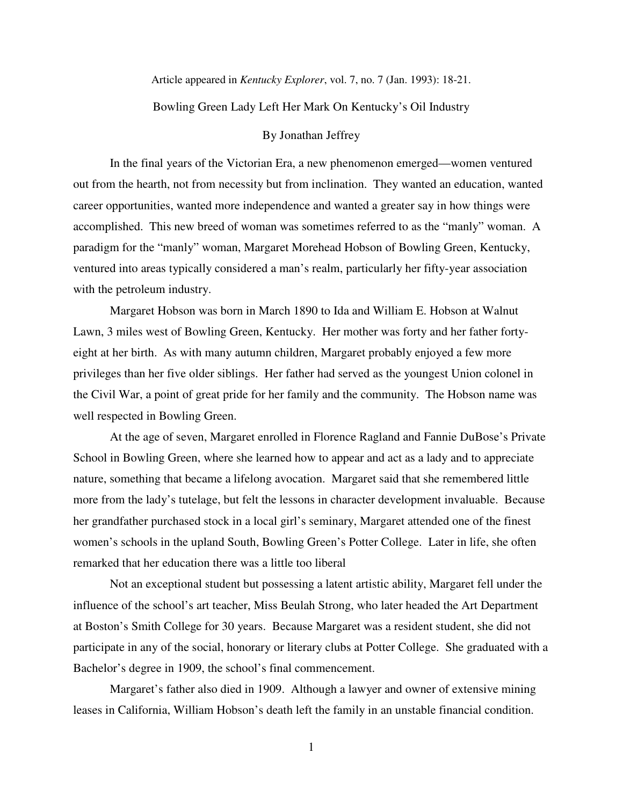Article appeared in *Kentucky Explorer*, vol. 7, no. 7 (Jan. 1993): 18-21.

Bowling Green Lady Left Her Mark On Kentucky's Oil Industry

## By Jonathan Jeffrey

 In the final years of the Victorian Era, a new phenomenon emerged—women ventured out from the hearth, not from necessity but from inclination. They wanted an education, wanted career opportunities, wanted more independence and wanted a greater say in how things were accomplished. This new breed of woman was sometimes referred to as the "manly" woman. A paradigm for the "manly" woman, Margaret Morehead Hobson of Bowling Green, Kentucky, ventured into areas typically considered a man's realm, particularly her fifty-year association with the petroleum industry.

 Margaret Hobson was born in March 1890 to Ida and William E. Hobson at Walnut Lawn, 3 miles west of Bowling Green, Kentucky. Her mother was forty and her father fortyeight at her birth. As with many autumn children, Margaret probably enjoyed a few more privileges than her five older siblings. Her father had served as the youngest Union colonel in the Civil War, a point of great pride for her family and the community. The Hobson name was well respected in Bowling Green.

 At the age of seven, Margaret enrolled in Florence Ragland and Fannie DuBose's Private School in Bowling Green, where she learned how to appear and act as a lady and to appreciate nature, something that became a lifelong avocation. Margaret said that she remembered little more from the lady's tutelage, but felt the lessons in character development invaluable. Because her grandfather purchased stock in a local girl's seminary, Margaret attended one of the finest women's schools in the upland South, Bowling Green's Potter College. Later in life, she often remarked that her education there was a little too liberal

Not an exceptional student but possessing a latent artistic ability, Margaret fell under the influence of the school's art teacher, Miss Beulah Strong, who later headed the Art Department at Boston's Smith College for 30 years. Because Margaret was a resident student, she did not participate in any of the social, honorary or literary clubs at Potter College. She graduated with a Bachelor's degree in 1909, the school's final commencement.

Margaret's father also died in 1909. Although a lawyer and owner of extensive mining leases in California, William Hobson's death left the family in an unstable financial condition.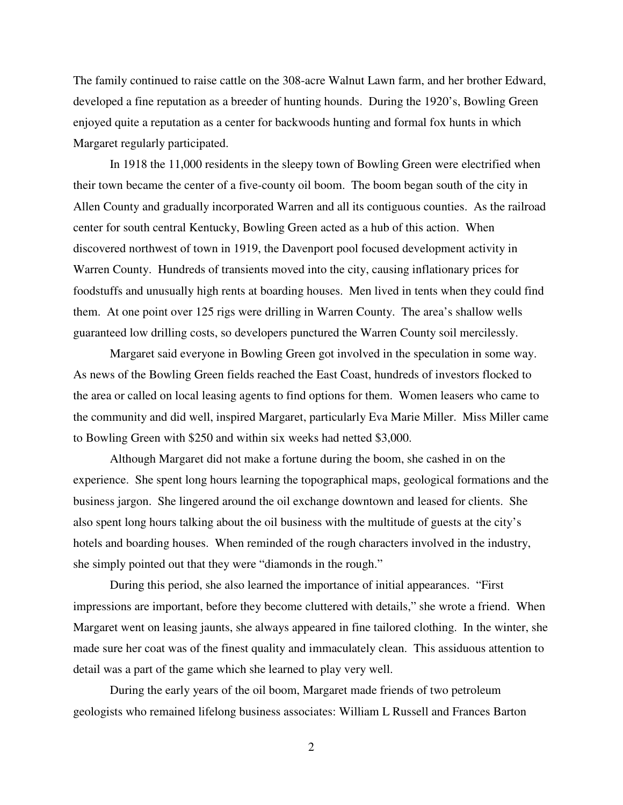The family continued to raise cattle on the 308-acre Walnut Lawn farm, and her brother Edward, developed a fine reputation as a breeder of hunting hounds. During the 1920's, Bowling Green enjoyed quite a reputation as a center for backwoods hunting and formal fox hunts in which Margaret regularly participated.

In 1918 the 11,000 residents in the sleepy town of Bowling Green were electrified when their town became the center of a five-county oil boom. The boom began south of the city in Allen County and gradually incorporated Warren and all its contiguous counties. As the railroad center for south central Kentucky, Bowling Green acted as a hub of this action. When discovered northwest of town in 1919, the Davenport pool focused development activity in Warren County. Hundreds of transients moved into the city, causing inflationary prices for foodstuffs and unusually high rents at boarding houses. Men lived in tents when they could find them. At one point over 125 rigs were drilling in Warren County. The area's shallow wells guaranteed low drilling costs, so developers punctured the Warren County soil mercilessly.

Margaret said everyone in Bowling Green got involved in the speculation in some way. As news of the Bowling Green fields reached the East Coast, hundreds of investors flocked to the area or called on local leasing agents to find options for them. Women leasers who came to the community and did well, inspired Margaret, particularly Eva Marie Miller. Miss Miller came to Bowling Green with \$250 and within six weeks had netted \$3,000.

Although Margaret did not make a fortune during the boom, she cashed in on the experience. She spent long hours learning the topographical maps, geological formations and the business jargon. She lingered around the oil exchange downtown and leased for clients. She also spent long hours talking about the oil business with the multitude of guests at the city's hotels and boarding houses. When reminded of the rough characters involved in the industry, she simply pointed out that they were "diamonds in the rough."

During this period, she also learned the importance of initial appearances. "First impressions are important, before they become cluttered with details," she wrote a friend. When Margaret went on leasing jaunts, she always appeared in fine tailored clothing. In the winter, she made sure her coat was of the finest quality and immaculately clean. This assiduous attention to detail was a part of the game which she learned to play very well.

During the early years of the oil boom, Margaret made friends of two petroleum geologists who remained lifelong business associates: William L Russell and Frances Barton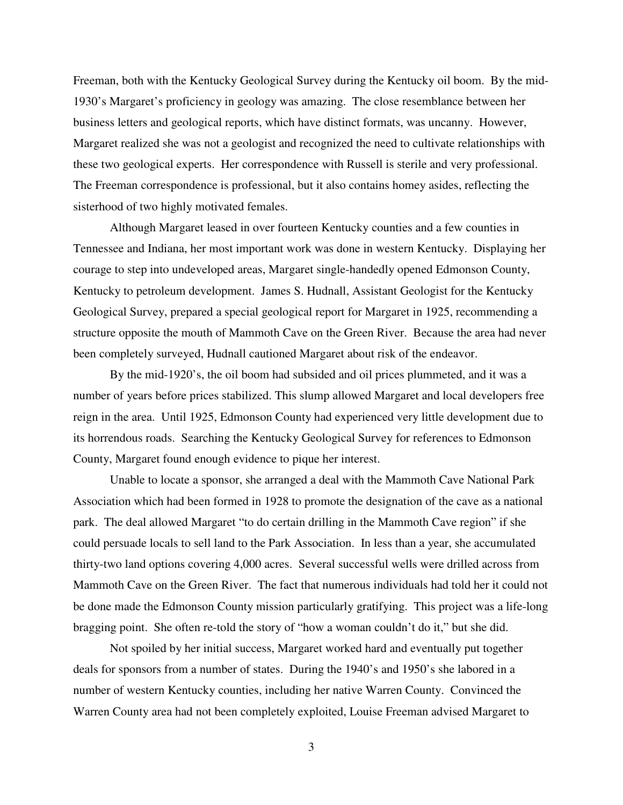Freeman, both with the Kentucky Geological Survey during the Kentucky oil boom. By the mid-1930's Margaret's proficiency in geology was amazing. The close resemblance between her business letters and geological reports, which have distinct formats, was uncanny. However, Margaret realized she was not a geologist and recognized the need to cultivate relationships with these two geological experts. Her correspondence with Russell is sterile and very professional. The Freeman correspondence is professional, but it also contains homey asides, reflecting the sisterhood of two highly motivated females.

Although Margaret leased in over fourteen Kentucky counties and a few counties in Tennessee and Indiana, her most important work was done in western Kentucky. Displaying her courage to step into undeveloped areas, Margaret single-handedly opened Edmonson County, Kentucky to petroleum development. James S. Hudnall, Assistant Geologist for the Kentucky Geological Survey, prepared a special geological report for Margaret in 1925, recommending a structure opposite the mouth of Mammoth Cave on the Green River. Because the area had never been completely surveyed, Hudnall cautioned Margaret about risk of the endeavor.

By the mid-1920's, the oil boom had subsided and oil prices plummeted, and it was a number of years before prices stabilized. This slump allowed Margaret and local developers free reign in the area. Until 1925, Edmonson County had experienced very little development due to its horrendous roads. Searching the Kentucky Geological Survey for references to Edmonson County, Margaret found enough evidence to pique her interest.

Unable to locate a sponsor, she arranged a deal with the Mammoth Cave National Park Association which had been formed in 1928 to promote the designation of the cave as a national park. The deal allowed Margaret "to do certain drilling in the Mammoth Cave region" if she could persuade locals to sell land to the Park Association. In less than a year, she accumulated thirty-two land options covering 4,000 acres. Several successful wells were drilled across from Mammoth Cave on the Green River. The fact that numerous individuals had told her it could not be done made the Edmonson County mission particularly gratifying. This project was a life-long bragging point. She often re-told the story of "how a woman couldn't do it," but she did.

Not spoiled by her initial success, Margaret worked hard and eventually put together deals for sponsors from a number of states. During the 1940's and 1950's she labored in a number of western Kentucky counties, including her native Warren County. Convinced the Warren County area had not been completely exploited, Louise Freeman advised Margaret to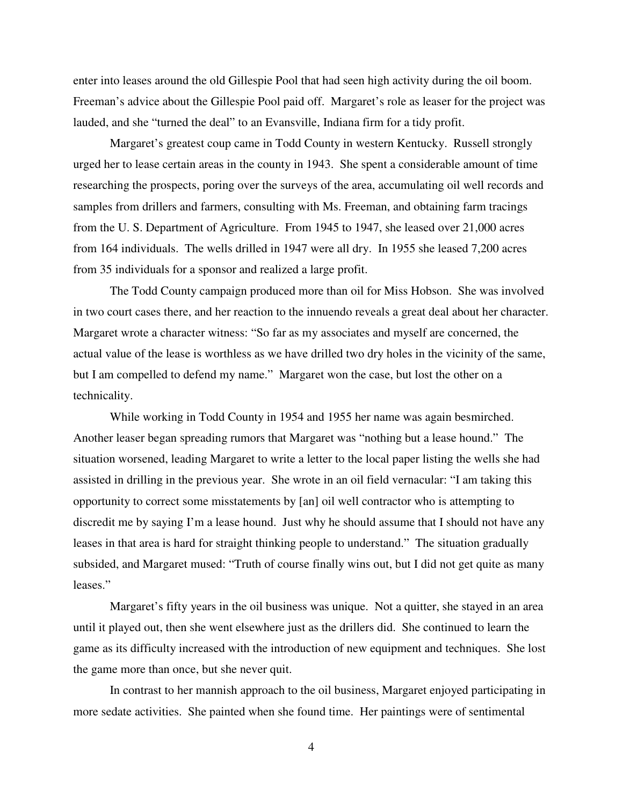enter into leases around the old Gillespie Pool that had seen high activity during the oil boom. Freeman's advice about the Gillespie Pool paid off. Margaret's role as leaser for the project was lauded, and she "turned the deal" to an Evansville, Indiana firm for a tidy profit.

Margaret's greatest coup came in Todd County in western Kentucky. Russell strongly urged her to lease certain areas in the county in 1943. She spent a considerable amount of time researching the prospects, poring over the surveys of the area, accumulating oil well records and samples from drillers and farmers, consulting with Ms. Freeman, and obtaining farm tracings from the U. S. Department of Agriculture. From 1945 to 1947, she leased over 21,000 acres from 164 individuals. The wells drilled in 1947 were all dry. In 1955 she leased 7,200 acres from 35 individuals for a sponsor and realized a large profit.

The Todd County campaign produced more than oil for Miss Hobson. She was involved in two court cases there, and her reaction to the innuendo reveals a great deal about her character. Margaret wrote a character witness: "So far as my associates and myself are concerned, the actual value of the lease is worthless as we have drilled two dry holes in the vicinity of the same, but I am compelled to defend my name." Margaret won the case, but lost the other on a technicality.

While working in Todd County in 1954 and 1955 her name was again besmirched. Another leaser began spreading rumors that Margaret was "nothing but a lease hound." The situation worsened, leading Margaret to write a letter to the local paper listing the wells she had assisted in drilling in the previous year. She wrote in an oil field vernacular: "I am taking this opportunity to correct some misstatements by [an] oil well contractor who is attempting to discredit me by saying I'm a lease hound. Just why he should assume that I should not have any leases in that area is hard for straight thinking people to understand." The situation gradually subsided, and Margaret mused: "Truth of course finally wins out, but I did not get quite as many leases."

Margaret's fifty years in the oil business was unique. Not a quitter, she stayed in an area until it played out, then she went elsewhere just as the drillers did. She continued to learn the game as its difficulty increased with the introduction of new equipment and techniques. She lost the game more than once, but she never quit.

In contrast to her mannish approach to the oil business, Margaret enjoyed participating in more sedate activities. She painted when she found time. Her paintings were of sentimental